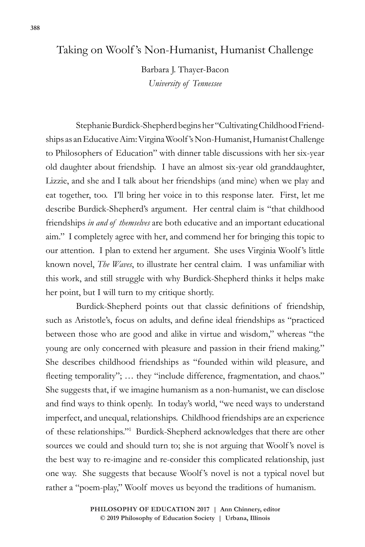## Taking on Woolf 's Non-Humanist, Humanist Challenge

Barbara J. Thayer-Bacon *University of Tennessee*

Stephanie Burdick-Shepherd begins her "Cultivating Childhood Friendships as an Educative Aim: Virgina Woolf 's Non-Humanist, Humanist Challenge to Philosophers of Education" with dinner table discussions with her six-year old daughter about friendship. I have an almost six-year old granddaughter, Lizzie, and she and I talk about her friendships (and mine) when we play and eat together, too. I'll bring her voice in to this response later. First, let me describe Burdick-Shepherd's argument. Her central claim is "that childhood friendships *in and of themselves* are both educative and an important educational aim." I completely agree with her, and commend her for bringing this topic to our attention. I plan to extend her argument. She uses Virginia Woolf 's little known novel, *The Waves*, to illustrate her central claim. I was unfamiliar with this work, and still struggle with why Burdick-Shepherd thinks it helps make her point, but I will turn to my critique shortly.

 Burdick-Shepherd points out that classic definitions of friendship, such as Aristotle's, focus on adults, and define ideal friendships as "practiced between those who are good and alike in virtue and wisdom," whereas "the young are only concerned with pleasure and passion in their friend making." She describes childhood friendships as "founded within wild pleasure, and fleeting temporality"; ... they "include difference, fragmentation, and chaos." She suggests that, if we imagine humanism as a non-humanist, we can disclose and find ways to think openly. In today's world, "we need ways to understand imperfect, and unequal, relationships. Childhood friendships are an experience of these relationships."1 Burdick-Shepherd acknowledges that there are other sources we could and should turn to; she is not arguing that Woolf 's novel is the best way to re-imagine and re-consider this complicated relationship, just one way. She suggests that because Woolf 's novel is not a typical novel but rather a "poem-play," Woolf moves us beyond the traditions of humanism.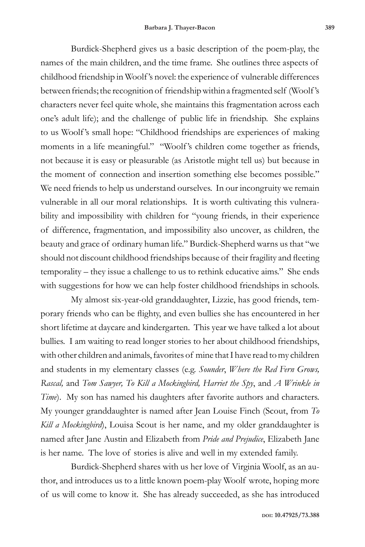Burdick-Shepherd gives us a basic description of the poem-play, the names of the main children, and the time frame. She outlines three aspects of childhood friendship in Woolf 's novel: the experience of vulnerable differences between friends; the recognition of friendship within a fragmented self (Woolf's characters never feel quite whole, she maintains this fragmentation across each one's adult life); and the challenge of public life in friendship. She explains to us Woolf 's small hope: "Childhood friendships are experiences of making moments in a life meaningful." "Woolf 's children come together as friends, not because it is easy or pleasurable (as Aristotle might tell us) but because in the moment of connection and insertion something else becomes possible." We need friends to help us understand ourselves. In our incongruity we remain vulnerable in all our moral relationships. It is worth cultivating this vulnerability and impossibility with children for "young friends, in their experience of difference, fragmentation, and impossibility also uncover, as children, the beauty and grace of ordinary human life." Burdick-Shepherd warns us that "we should not discount childhood friendships because of their fragility and fleeting temporality – they issue a challenge to us to rethink educative aims." She ends with suggestions for how we can help foster childhood friendships in schools.

My almost six-year-old granddaughter, Lizzie, has good friends, temporary friends who can be flighty, and even bullies she has encountered in her short lifetime at daycare and kindergarten. This year we have talked a lot about bullies. I am waiting to read longer stories to her about childhood friendships, with other children and animals, favorites of mine that I have read to my children and students in my elementary classes (e.g. *Sounder*, *Where the Red Fern Grows, Rascal,* and *Tom Sawyer, To Kill a Mockingbird, Harriet the Spy*, and *A Wrinkle in Time*). My son has named his daughters after favorite authors and characters. My younger granddaughter is named after Jean Louise Finch (Scout, from *To Kill a Mockingbird*), Louisa Scout is her name, and my older granddaughter is named after Jane Austin and Elizabeth from *Pride and Prejudice*, Elizabeth Jane is her name. The love of stories is alive and well in my extended family.

Burdick-Shepherd shares with us her love of Virginia Woolf, as an author, and introduces us to a little known poem-play Woolf wrote, hoping more of us will come to know it. She has already succeeded, as she has introduced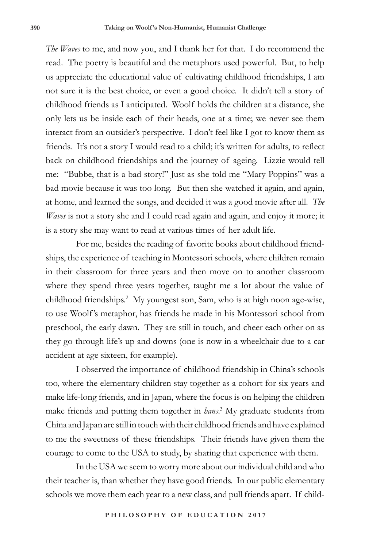*The Waves* to me, and now you, and I thank her for that. I do recommend the read. The poetry is beautiful and the metaphors used powerful. But, to help us appreciate the educational value of cultivating childhood friendships, I am not sure it is the best choice, or even a good choice. It didn't tell a story of childhood friends as I anticipated. Woolf holds the children at a distance, she only lets us be inside each of their heads, one at a time; we never see them interact from an outsider's perspective. I don't feel like I got to know them as friends. It's not a story I would read to a child; it's written for adults, to reflect back on childhood friendships and the journey of ageing. Lizzie would tell me: "Bubbe, that is a bad story!" Just as she told me "Mary Poppins" was a bad movie because it was too long. But then she watched it again, and again, at home, and learned the songs, and decided it was a good movie after all. *The Waves* is not a story she and I could read again and again, and enjoy it more; it is a story she may want to read at various times of her adult life.

For me, besides the reading of favorite books about childhood friendships, the experience of teaching in Montessori schools, where children remain in their classroom for three years and then move on to another classroom where they spend three years together, taught me a lot about the value of childhood friendships.<sup>2</sup> My youngest son, Sam, who is at high noon age-wise, to use Woolf 's metaphor, has friends he made in his Montessori school from preschool, the early dawn. They are still in touch, and cheer each other on as they go through life's up and downs (one is now in a wheelchair due to a car accident at age sixteen, for example).

I observed the importance of childhood friendship in China's schools too, where the elementary children stay together as a cohort for six years and make life-long friends, and in Japan, where the focus is on helping the children make friends and putting them together in *hans*. 3 My graduate students from China and Japan are still in touch with their childhood friends and have explained to me the sweetness of these friendships. Their friends have given them the courage to come to the USA to study, by sharing that experience with them.

In the USA we seem to worry more about our individual child and who their teacher is, than whether they have good friends. In our public elementary schools we move them each year to a new class, and pull friends apart. If child